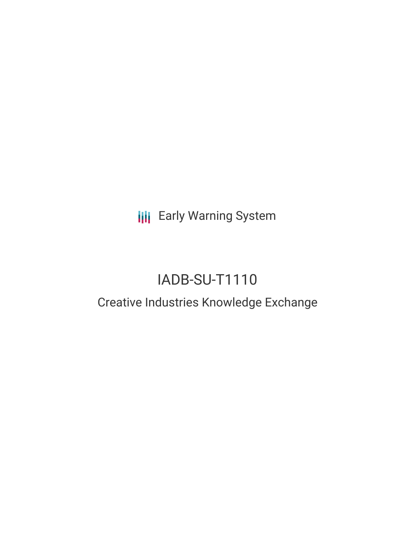**III** Early Warning System

# IADB-SU-T1110

## Creative Industries Knowledge Exchange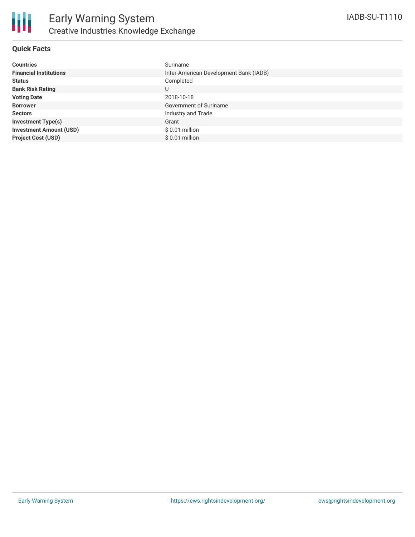

### **Quick Facts**

| <b>Countries</b>               | Suriname                               |
|--------------------------------|----------------------------------------|
| <b>Financial Institutions</b>  | Inter-American Development Bank (IADB) |
| <b>Status</b>                  | Completed                              |
| <b>Bank Risk Rating</b>        | U                                      |
| <b>Voting Date</b>             | 2018-10-18                             |
| <b>Borrower</b>                | Government of Suriname                 |
| <b>Sectors</b>                 | Industry and Trade                     |
| <b>Investment Type(s)</b>      | Grant                                  |
| <b>Investment Amount (USD)</b> | $$0.01$ million                        |
| <b>Project Cost (USD)</b>      | $$0.01$ million                        |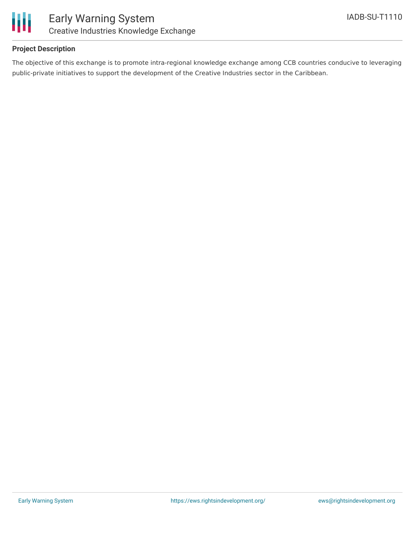

### **Project Description**

The objective of this exchange is to promote intra-regional knowledge exchange among CCB countries conducive to leveraging public-private initiatives to support the development of the Creative Industries sector in the Caribbean.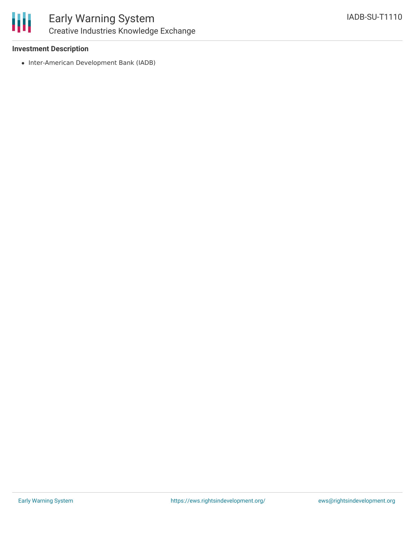

### Early Warning System Creative Industries Knowledge Exchange

### **Investment Description**

• Inter-American Development Bank (IADB)